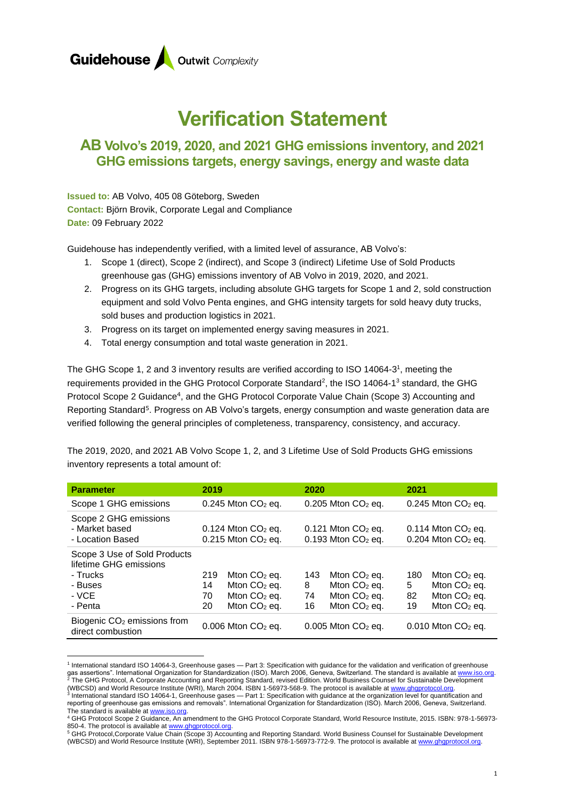

# **Verification Statement**

### **AB Volvo's 2019, 2020, and 2021 GHG emissions inventory, and 2021 GHG emissions targets, energy savings, energy and waste data**

**Issued to:** AB Volvo, 405 08 Göteborg, Sweden **Contact:** Björn Brovik, Corporate Legal and Compliance **Date:** 09 February 2022

Guidehouse has independently verified, with a limited level of assurance, AB Volvo's:

- 1. Scope 1 (direct), Scope 2 (indirect), and Scope 3 (indirect) Lifetime Use of Sold Products greenhouse gas (GHG) emissions inventory of AB Volvo in 2019, 2020, and 2021.
- 2. Progress on its GHG targets, including absolute GHG targets for Scope 1 and 2, sold construction equipment and sold Volvo Penta engines, and GHG intensity targets for sold heavy duty trucks, sold buses and production logistics in 2021.
- 3. Progress on its target on implemented energy saving measures in 2021.
- 4. Total energy consumption and total waste generation in 2021.

The GHG Scope 1, 2 and 3 inventory results are verified according to ISO 14064-3<sup>1</sup>, meeting the requirements provided in the GHG Protocol Corporate Standard<sup>2</sup>, the ISO 14064-1<sup>3</sup> standard, the GHG Protocol Scope 2 Guidance<sup>4</sup>, and the GHG Protocol Corporate Value Chain (Scope 3) Accounting and Reporting Standard<sup>5</sup>. Progress on AB Volvo's targets, energy consumption and waste generation data are verified following the general principles of completeness, transparency, consistency, and accuracy.

The 2019, 2020, and 2021 AB Volvo Scope 1, 2, and 3 Lifetime Use of Sold Products GHG emissions inventory represents a total amount of:

| <b>Parameter</b>                                                                                  | 2019                                                                                          | 2020                                                                                         | 2021                                                                                         |
|---------------------------------------------------------------------------------------------------|-----------------------------------------------------------------------------------------------|----------------------------------------------------------------------------------------------|----------------------------------------------------------------------------------------------|
| Scope 1 GHG emissions                                                                             | $0.245$ Mton $CO2$ eq.                                                                        | $0.205$ Mton $CO2$ eq.                                                                       | $0.245$ Mton $CO2$ eq.                                                                       |
| Scope 2 GHG emissions<br>- Market based<br>- Location Based                                       | $0.124$ Mton $CO2$ eq.<br>$0.215$ Mton $CO2$ eq.                                              | $0.121$ Mton $CO2$ eq.<br>$0.193$ Mton $CO2$ eq.                                             | $0.114$ Mton $CO2$ eq.<br>$0.204$ Mton $CO2$ eq.                                             |
| Scope 3 Use of Sold Products<br>lifetime GHG emissions<br>- Trucks<br>- Buses<br>- VCE<br>- Penta | 219<br>Mton $CO2$ eq.<br>Mton $CO2$ eq.<br>14<br>Mton $CO2$ eq.<br>70<br>Mton $CO2$ eq.<br>20 | Mton $CO2$ eq.<br>143<br>Mton $CO2$ eq.<br>8<br>Mton $CO2$ eq.<br>74<br>Mton $CO2$ eq.<br>16 | 180<br>Mton $CO2$ eq.<br>Mton $CO2$ eq.<br>5<br>82<br>Mton $CO2$ eq.<br>Mton $CO2$ eq.<br>19 |
| Biogenic CO <sub>2</sub> emissions from<br>direct combustion                                      | $0.006$ Mton $CO2$ eq.                                                                        | $0.005$ Mton $CO2$ eq.                                                                       | $0.010$ Mton $CO2$ eq.                                                                       |

<sup>&</sup>lt;sup>1</sup> International standard ISO 14064-3, Greenhouse gases — Part 3: Specification with guidance for the validation and verification of greenhouse gas assertions". International Organization for Standardization (ISO). March 2006, Geneva, Switzerland. The standard is available at www.iso.org.  $^2$  The GHG Protocol, A Corporate Accounting and Reporting Standard, revised Edition. World Business Counsel for Sustainable Development (WBCSD) and World Resource Institute (WRI), March 2004. ISBN 1-56973-568-9. The protocol is available at www.ghgprotocol.org.

<sup>&</sup>lt;sup>3</sup> International standard ISO 14064-1, Greenhouse gases — Part 1: Specification with guidance at the organization level for quantification and reporting of greenhouse gas emissions and removals". International Organization for Standardization (ISO). March 2006, Geneva, Switzerland. The standard is available at <u>www.iso.org</u>.<br><sup>4</sup> GHG Protocol Scope 2 Guidance, An amendment to the GHG Protocol Corporate Standard, World Resource Institute, 2015. ISBN: 978-1-56973-

<sup>850-4.</sup> The protocol is available at www.ghgprotocol.org

<sup>&</sup>lt;sup>5</sup> GHG Protocol,Corporate Value Chain (Scope 3) Accounting and Reporting Standard. World Business Counsel for Sustainable Development (WBCSD) and World Resource Institute (WRI), September 2011. ISBN 978-1-56973-772-9. The protocol is available a[t www.ghgprotocol.org.](http://www.ghgprotocol.org/)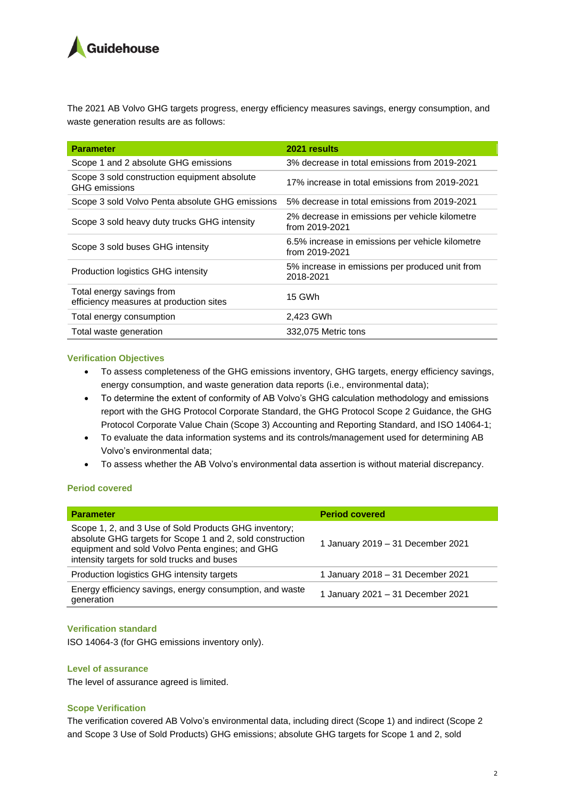## **Guidehouse**

The 2021 AB Volvo GHG targets progress, energy efficiency measures savings, energy consumption, and waste generation results are as follows:

| <b>Parameter</b>                                                     | 2021 results                                                       |  |
|----------------------------------------------------------------------|--------------------------------------------------------------------|--|
| Scope 1 and 2 absolute GHG emissions                                 | 3% decrease in total emissions from 2019-2021                      |  |
| Scope 3 sold construction equipment absolute<br><b>GHG</b> emissions | 17% increase in total emissions from 2019-2021                     |  |
| Scope 3 sold Volvo Penta absolute GHG emissions                      | 5% decrease in total emissions from 2019-2021                      |  |
| Scope 3 sold heavy duty trucks GHG intensity                         | 2% decrease in emissions per vehicle kilometre<br>from 2019-2021   |  |
| Scope 3 sold buses GHG intensity                                     | 6.5% increase in emissions per vehicle kilometre<br>from 2019-2021 |  |
| Production logistics GHG intensity                                   | 5% increase in emissions per produced unit from<br>2018-2021       |  |
| Total energy savings from<br>efficiency measures at production sites | 15 GWh                                                             |  |
| Total energy consumption                                             | 2,423 GWh                                                          |  |
| Total waste generation                                               | 332,075 Metric tons                                                |  |

#### **Verification Objectives**

- To assess completeness of the GHG emissions inventory, GHG targets, energy efficiency savings, energy consumption, and waste generation data reports (i.e., environmental data);
- To determine the extent of conformity of AB Volvo's GHG calculation methodology and emissions report with the GHG Protocol Corporate Standard, the GHG Protocol Scope 2 Guidance, the GHG Protocol Corporate Value Chain (Scope 3) Accounting and Reporting Standard, and ISO 14064-1;
- To evaluate the data information systems and its controls/management used for determining AB Volvo's environmental data;
- To assess whether the AB Volvo's environmental data assertion is without material discrepancy.

#### **Period covered**

| <b>Parameter</b>                                                                                                                                                                                                     | <b>Period covered</b>             |
|----------------------------------------------------------------------------------------------------------------------------------------------------------------------------------------------------------------------|-----------------------------------|
| Scope 1, 2, and 3 Use of Sold Products GHG inventory;<br>absolute GHG targets for Scope 1 and 2, sold construction<br>equipment and sold Volvo Penta engines; and GHG<br>intensity targets for sold trucks and buses | 1 January 2019 - 31 December 2021 |
| Production logistics GHG intensity targets                                                                                                                                                                           | 1 January 2018 - 31 December 2021 |
| Energy efficiency savings, energy consumption, and waste<br>generation                                                                                                                                               | 1 January 2021 - 31 December 2021 |

#### **Verification standard**

ISO 14064-3 (for GHG emissions inventory only).

#### **Level of assurance**

The level of assurance agreed is limited.

#### **Scope Verification**

The verification covered AB Volvo's environmental data, including direct (Scope 1) and indirect (Scope 2 and Scope 3 Use of Sold Products) GHG emissions; absolute GHG targets for Scope 1 and 2, sold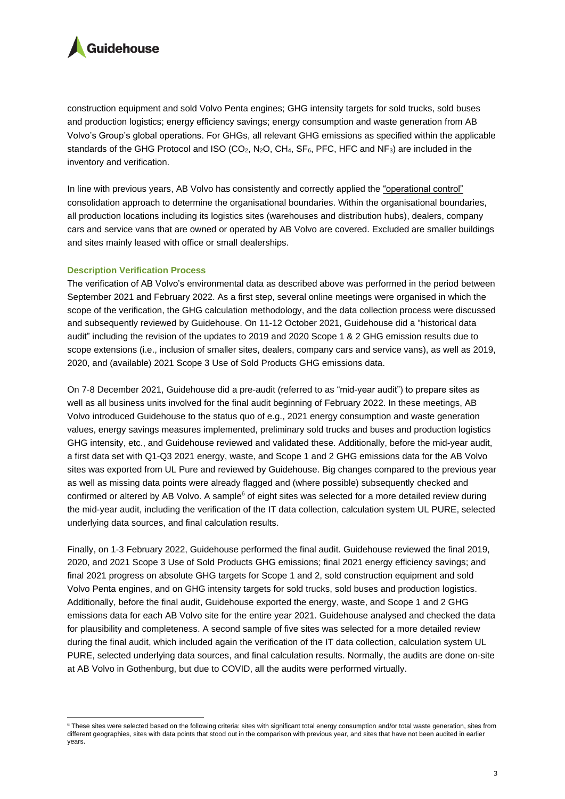

construction equipment and sold Volvo Penta engines; GHG intensity targets for sold trucks, sold buses and production logistics; energy efficiency savings; energy consumption and waste generation from AB Volvo's Group's global operations. For GHGs, all relevant GHG emissions as specified within the applicable standards of the GHG Protocol and ISO (CO<sub>2</sub>, N<sub>2</sub>O, CH<sub>4</sub>, SF<sub>6</sub>, PFC, HFC and NF<sub>3</sub>) are included in the inventory and verification.

In line with previous years, AB Volvo has consistently and correctly applied the "operational control" consolidation approach to determine the organisational boundaries. Within the organisational boundaries, all production locations including its logistics sites (warehouses and distribution hubs), dealers, company cars and service vans that are owned or operated by AB Volvo are covered. Excluded are smaller buildings and sites mainly leased with office or small dealerships.

#### **Description Verification Process**

The verification of AB Volvo's environmental data as described above was performed in the period between September 2021 and February 2022. As a first step, several online meetings were organised in which the scope of the verification, the GHG calculation methodology, and the data collection process were discussed and subsequently reviewed by Guidehouse. On 11-12 October 2021, Guidehouse did a "historical data audit" including the revision of the updates to 2019 and 2020 Scope 1 & 2 GHG emission results due to scope extensions (i.e., inclusion of smaller sites, dealers, company cars and service vans), as well as 2019, 2020, and (available) 2021 Scope 3 Use of Sold Products GHG emissions data.

On 7-8 December 2021, Guidehouse did a pre-audit (referred to as "mid-year audit") to prepare sites as well as all business units involved for the final audit beginning of February 2022. In these meetings, AB Volvo introduced Guidehouse to the status quo of e.g., 2021 energy consumption and waste generation values, energy savings measures implemented, preliminary sold trucks and buses and production logistics GHG intensity, etc., and Guidehouse reviewed and validated these. Additionally, before the mid-year audit, a first data set with Q1-Q3 2021 energy, waste, and Scope 1 and 2 GHG emissions data for the AB Volvo sites was exported from UL Pure and reviewed by Guidehouse. Big changes compared to the previous year as well as missing data points were already flagged and (where possible) subsequently checked and confirmed or altered by AB Volvo. A sample<sup>6</sup> of eight sites was selected for a more detailed review during the mid-year audit, including the verification of the IT data collection, calculation system UL PURE, selected underlying data sources, and final calculation results.

Finally, on 1-3 February 2022, Guidehouse performed the final audit. Guidehouse reviewed the final 2019, 2020, and 2021 Scope 3 Use of Sold Products GHG emissions; final 2021 energy efficiency savings; and final 2021 progress on absolute GHG targets for Scope 1 and 2, sold construction equipment and sold Volvo Penta engines, and on GHG intensity targets for sold trucks, sold buses and production logistics. Additionally, before the final audit, Guidehouse exported the energy, waste, and Scope 1 and 2 GHG emissions data for each AB Volvo site for the entire year 2021. Guidehouse analysed and checked the data for plausibility and completeness. A second sample of five sites was selected for a more detailed review during the final audit, which included again the verification of the IT data collection, calculation system UL PURE, selected underlying data sources, and final calculation results. Normally, the audits are done on-site at AB Volvo in Gothenburg, but due to COVID, all the audits were performed virtually.

<sup>&</sup>lt;sup>6</sup> These sites were selected based on the following criteria: sites with significant total energy consumption and/or total waste generation, sites from different geographies, sites with data points that stood out in the comparison with previous year, and sites that have not been audited in earlier years.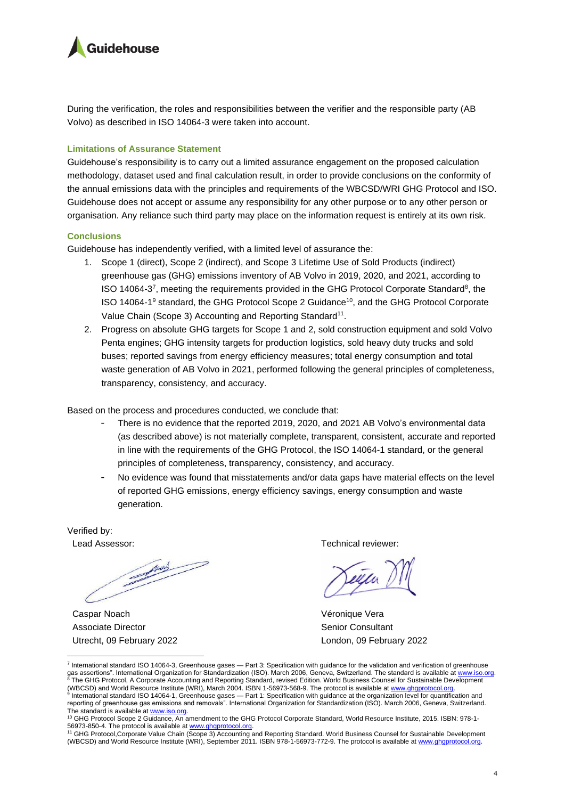

During the verification, the roles and responsibilities between the verifier and the responsible party (AB Volvo) as described in ISO 14064-3 were taken into account.

#### **Limitations of Assurance Statement**

Guidehouse's responsibility is to carry out a limited assurance engagement on the proposed calculation methodology, dataset used and final calculation result, in order to provide conclusions on the conformity of the annual emissions data with the principles and requirements of the WBCSD/WRI GHG Protocol and ISO. Guidehouse does not accept or assume any responsibility for any other purpose or to any other person or organisation. Any reliance such third party may place on the information request is entirely at its own risk.

#### **Conclusions**

Guidehouse has independently verified, with a limited level of assurance the:

- 1. Scope 1 (direct), Scope 2 (indirect), and Scope 3 Lifetime Use of Sold Products (indirect) greenhouse gas (GHG) emissions inventory of AB Volvo in 2019, 2020, and 2021, according to ISO 14064-3<sup>7</sup>, meeting the requirements provided in the GHG Protocol Corporate Standard<sup>8</sup>, the ISO 14064-1<sup>9</sup> standard, the GHG Protocol Scope 2 Guidance<sup>10</sup>, and the GHG Protocol Corporate Value Chain (Scope 3) Accounting and Reporting Standard<sup>11</sup>.
- 2. Progress on absolute GHG targets for Scope 1 and 2, sold construction equipment and sold Volvo Penta engines; GHG intensity targets for production logistics, sold heavy duty trucks and sold buses; reported savings from energy efficiency measures; total energy consumption and total waste generation of AB Volvo in 2021, performed following the general principles of completeness, transparency, consistency, and accuracy.

Based on the process and procedures conducted, we conclude that:

- There is no evidence that the reported 2019, 2020, and 2021 AB Volvo's environmental data (as described above) is not materially complete, transparent, consistent, accurate and reported in line with the requirements of the GHG Protocol, the ISO 14064-1 standard, or the general principles of completeness, transparency, consistency, and accuracy.
- No evidence was found that misstatements and/or data gaps have material effects on the level of reported GHG emissions, energy efficiency savings, energy consumption and waste generation.

Verified by:

June

Caspar Noach Associate Director Utrecht, 09 February 2022

Lead Assessor: Technical reviewer:

Véronique Vera Senior Consultant London, 09 February 2022

<sup>&</sup>lt;sup>7</sup> International standard ISO 14064-3, Greenhouse gases — Part 3: Specification with guidance for the validation and verification of greenhouse gas assertions". International Organization for Standardization (ISO). March 2006, Geneva, Switzerland. The standard is available at www.iso.org.<br>8 The GHG Protocol. A Corporate Accounting and Departies Ctree is a control The GHG Protocol, A Corporate Accounting and Reporting Standard, revised Edition. World Business Counsel for Sustainable Development (WBCSD) and World Resource Institute (WRI), March 2004. ISBN 1-56973-568-9. The protocol is available a[t www.ghgprotocol.org.](http://www.ghgprotocol.org/)  <sup>9</sup> International standard ISO 14064-1, Greenhouse gases — Part 1: Specification with guidance at the organization level for quantification and reporting of greenhouse gas emissions and removals". International Organization for Standardization (ISO). March 2006, Geneva, Switzerland.

The standard is available at <u>www.iso.org</u>.<br><sup>10</sup> GHG Protocol Scope 2 Guidance, An amendment to the GHG Protocol Corporate Standard, World Resource Institute, 2015. ISBN: 978-1-

<sup>56973-850-4.</sup> The protocol is available at <u>www.ghgprotocol.org</u>.<br><sup>11</sup> GHG Protocol,Corporate Value Chain (Scope 3) Accounting and Reporting Standard. World Business Counsel for Sustainable Development (WBCSD) and World Resource Institute (WRI), September 2011. ISBN 978-1-56973-772-9. The protocol is available a[t www.ghgprotocol.org.](http://www.ghgprotocol.org/)